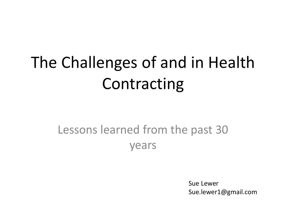# The Challenges of and in Health Contracting

#### Lessons learned from the past 30 years

Sue Lewer Sue.lewer1@gmail.com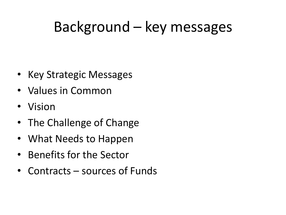#### Background – key messages

- Key Strategic Messages
- Values in Common
- Vision
- The Challenge of Change
- What Needs to Happen
- Benefits for the Sector
- Contracts sources of Funds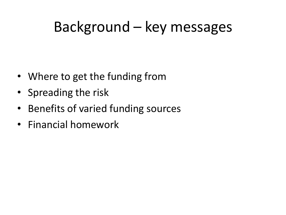#### Background – key messages

- Where to get the funding from
- Spreading the risk
- Benefits of varied funding sources
- Financial homework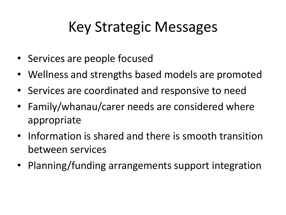### Key Strategic Messages

- Services are people focused
- Wellness and strengths based models are promoted
- Services are coordinated and responsive to need
- Family/whanau/carer needs are considered where appropriate
- Information is shared and there is smooth transition between services
- Planning/funding arrangements support integration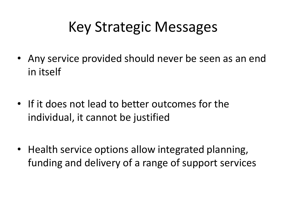### Key Strategic Messages

- Any service provided should never be seen as an end in itself
- If it does not lead to better outcomes for the individual, it cannot be justified
- Health service options allow integrated planning, funding and delivery of a range of support services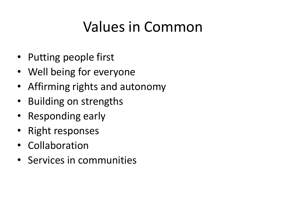### Values in Common

- Putting people first
- Well being for everyone
- Affirming rights and autonomy
- Building on strengths
- Responding early
- Right responses
- Collaboration
- Services in communities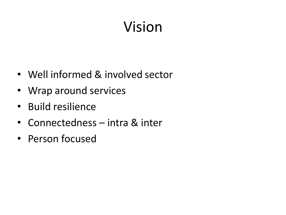## Vision

- Well informed & involved sector
- Wrap around services
- Build resilience
- Connectedness intra & inter
- Person focused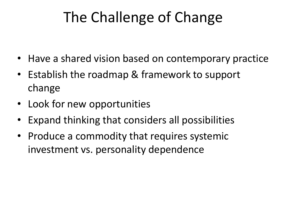## The Challenge of Change

- Have a shared vision based on contemporary practice
- Establish the roadmap & framework to support change
- Look for new opportunities
- Expand thinking that considers all possibilities
- Produce a commodity that requires systemic investment vs. personality dependence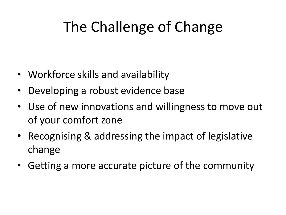## The Challenge of Change

- Workforce skills and availability
- Developing a robust evidence base
- Use of new innovations and willingness to move out of your comfort zone
- Recognising & addressing the impact of legislative change
- Getting a more accurate picture of the community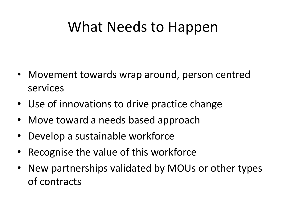#### What Needs to Happen

- Movement towards wrap around, person centred services
- Use of innovations to drive practice change
- Move toward a needs based approach
- Develop a sustainable workforce
- Recognise the value of this workforce
- New partnerships validated by MOUs or other types of contracts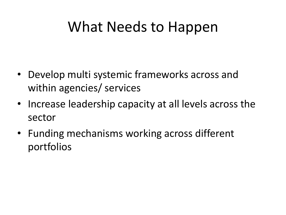#### What Needs to Happen

- Develop multi systemic frameworks across and within agencies/ services
- Increase leadership capacity at all levels across the sector
- Funding mechanisms working across different portfolios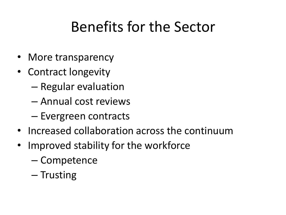### Benefits for the Sector

- More transparency
- Contract longevity
	- Regular evaluation
	- Annual cost reviews
	- Evergreen contracts
- Increased collaboration across the continuum
- Improved stability for the workforce
	- Competence
	- Trusting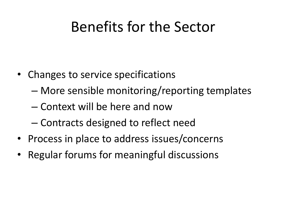#### Benefits for the Sector

- Changes to service specifications
	- More sensible monitoring/reporting templates
	- Context will be here and now
	- Contracts designed to reflect need
- Process in place to address issues/concerns
- Regular forums for meaningful discussions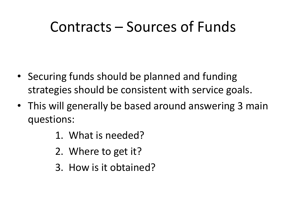#### Contracts – Sources of Funds

- Securing funds should be planned and funding strategies should be consistent with service goals.
- This will generally be based around answering 3 main questions:
	- 1. What is needed?
	- 2. Where to get it?
	- 3. How is it obtained?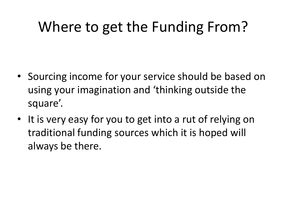### Where to get the Funding From?

- Sourcing income for your service should be based on using your imagination and 'thinking outside the square'.
- It is very easy for you to get into a rut of relying on traditional funding sources which it is hoped will always be there.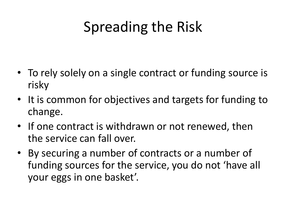## Spreading the Risk

- To rely solely on a single contract or funding source is risky
- It is common for objectives and targets for funding to change.
- If one contract is withdrawn or not renewed, then the service can fall over.
- By securing a number of contracts or a number of funding sources for the service, you do not 'have all your eggs in one basket'.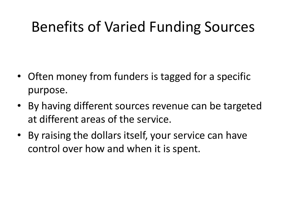### Benefits of Varied Funding Sources

- Often money from funders is tagged for a specific purpose.
- By having different sources revenue can be targeted at different areas of the service.
- By raising the dollars itself, your service can have control over how and when it is spent.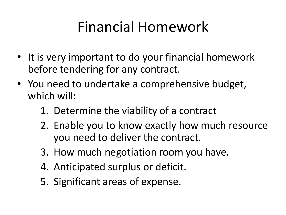### Financial Homework

- It is very important to do your financial homework before tendering for any contract.
- You need to undertake a comprehensive budget, which will:
	- 1. Determine the viability of a contract
	- 2. Enable you to know exactly how much resource you need to deliver the contract.
	- 3. How much negotiation room you have.
	- 4. Anticipated surplus or deficit.
	- 5. Significant areas of expense.